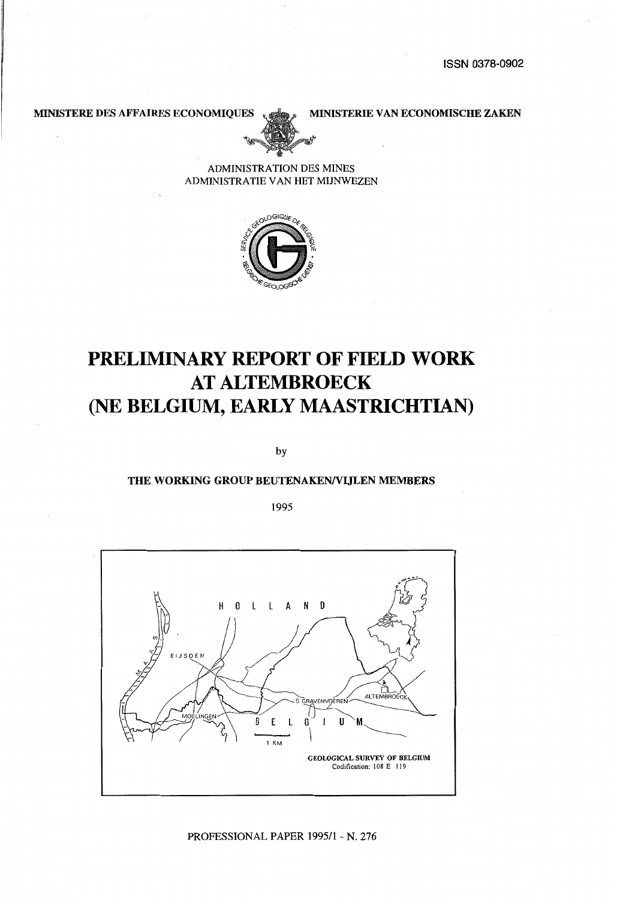MINISTERE DES AFFAIRES ECONOMIQUES (400) MINISTERIE VAN ECONOMISCHE ZAKEN



ADMINISTRATION DES MINES ADMINISTRA TIE VAN HET MIJNWEZEN



# **PRELIMINARY REPORT OF FIELD WORK AT ALTEMBROECK**  (NE **BELGIUM, EARLY MAASTRICHTIAN)**

by

#### THE WORKING GROUP BEUTENAKEN/VLILEN MEMBERS

1995

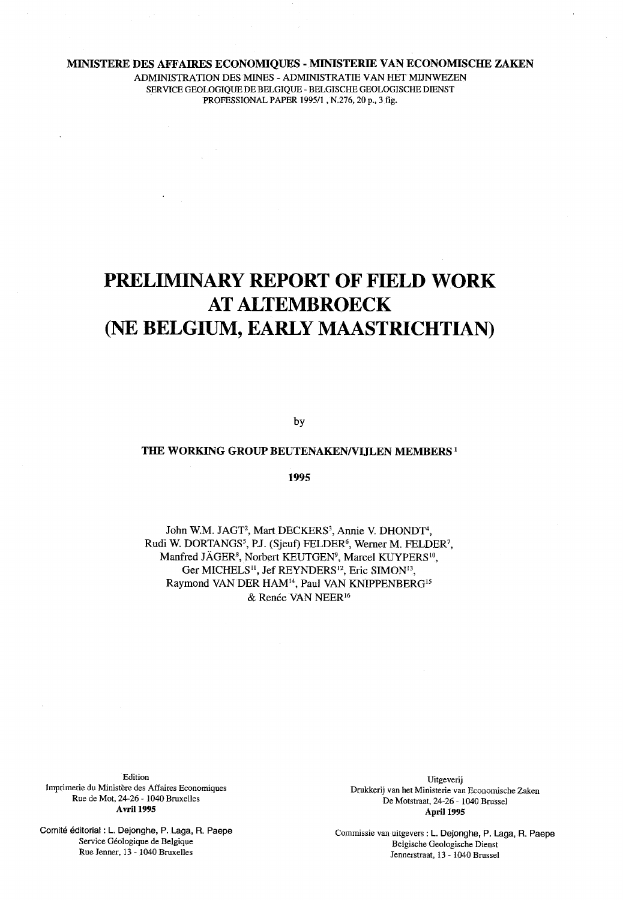#### MINISTERE DES AFFAIRES ECONOMIQUES - MINISTERIE VAN ECONOMISCHE ZAKEN

 $\Delta E_{\rm{eff}}=0.01$ 

ADMINISTRATION DES MINES - ADMINISTRATIE VAN HET MIJNWEZEN SERVICE GEOLOGIQUE DE BELGIQUE- BELGISCHE GEOLOGISCHE DIENST PROFESSIONAL PAPER 1995/1 , N.276, 20 p., 3 fig.

# **PRELIMINARY REPORT OF FIELD WORK AT ALTEMBROECK**  (NE **BELGIUM, EARLY MAASTRICHTIAN)**

by

#### THE WORKING GROUP BEUTENAKEN/VIJLEN MEMBERS<sup>1</sup>

1995

John W.M. JAGT<sup>2</sup>, Mart DECKERS<sup>3</sup>, Annie V. DHONDT<sup>4</sup>, Rudi W. DORTANGS<sup>5</sup>, P.J. (Sjeuf) FELDER<sup>6</sup>, Werner M. FELDER<sup>7</sup>, Manfred JAGER<sup>8</sup>, Norbert KEUTGEN<sup>9</sup>, Marcel KUYPERS<sup>10</sup>, Ger MICHELS<sup>11</sup>, Jef REYNDERS<sup>12</sup>, Eric SIMON<sup>13</sup>, Raymond VAN DER HAM<sup>14</sup>, Paul VAN KNIPPENBERG<sup>15</sup> & Renée VAN NEER<sup>16</sup>

Edition Imprimerie du Ministere des Affaires Economiques Rue de Mot, 24-26- 1040 Bruxelles **Avril 1995** 

Comite editorial: L. Dejonghe, P. Laga, R. Paepe Service Geologique de Belgique Rue Jenner, 13- 1040 Bruxelles

Uitgeverij Drukkerij van het Ministerie van Economische Zaken De Motstraat, 24-26- 1040 Brussel April 1995

Commissie van uitgevers: L. Dejonghe, P. Laga, R. Paepe Belgische Geologische Dienst Jennerstraat, 13- 1040 Brussel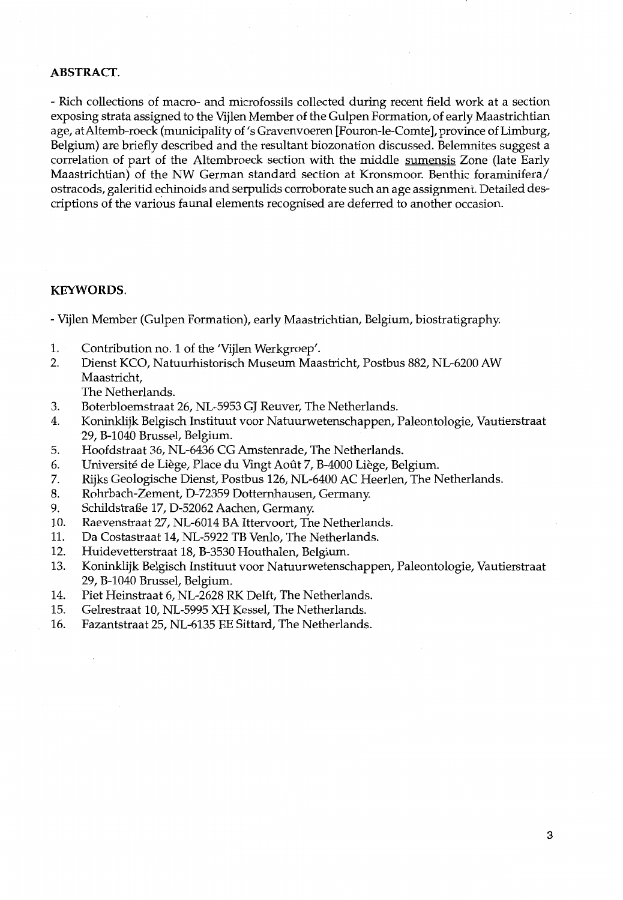### **ABSTRACT.**

- Rich collections of macro- and microfossils collected during recent field work at a section exposing strata assigned to the Vijlen Member of the Gulpen Formation, of early Maastrichtian age, at Altemb-roeck (municipality of 's Gravenvoeren [Fouron-le-Comte], province of Limburg, Belgium) are briefly described and the resultant biozonation discussed. Belemnites suggest a correlation of part of the Altembroeck section with the middle sumensis Zone (late Early Maastrichtian) of the NW German standard section at Kronsmoor. Benthic foraminifera/ ostracods, galeritid echinoids and serpulids corroborate such an age assignment. Detailed descriptions of the various faunal elements recognised are deferred to another occasion.

#### **KEYWORDS.**

- Vijlen Member (Gulpen Formation), early Maastrichtian, Belgium, biostratigraphy.
- 1. Contribution no. 1 of the 'Vijlen Werkgroep'.
- 2. Dienst KCO, Natuurhistorisch Museum Maastricht, Postbus 882, NL-6200 AW Maastricht, The Netherlands.
- 3. Boterbloemstraat 26, NL-5953 GJ Reuver, The Netherlands.
- 4. Koninklijk Belgisch Instituut voor Natuurwetenschappen, Paleontologie, Vautierstraat 29, B-1040 Brussel, Belgium.
- 5. Hoofdstraat 36, NL-6436 CG Amstenrade, The Netherlands.
- 6. Université de Liège, Place du Vingt Août 7, B-4000 Liège, Belgium.
- 7. Rijks Geologische Dienst, Postbus 126, NL-6400 AC Heerlen, The Netherlands.
- 8. Rohrbach-Zement, D-72359 Dotternhausen, Germany.
- 9. Schildstraße 17, D-52062 Aachen, Germany.
- 10. Raevenstraat 27, NL-6014 BA Ittervoort, The Netherlands.
- 11. Da Costastraat 14, NL-5922 TB Venlo, The Netherlands.
- 12. Huidevetterstraat 18, B-3530 Houthalen, Belgium.
- 13. Koninklijk Belgisch Instituut voor Natuurwetenschappen, Paleontologie, Vautierstraat 29, B-1040 Brussel, Belgium.
- 14. Piet Heinstraat 6, NL-2628 RK Delft, The Netherlands.
- 15. Gelrestraat 10, NL-5995 XH Kessel, The Netherlands.
- 16. Fazantstraat 25, NL-6135 EE Sittard, The Netherlands.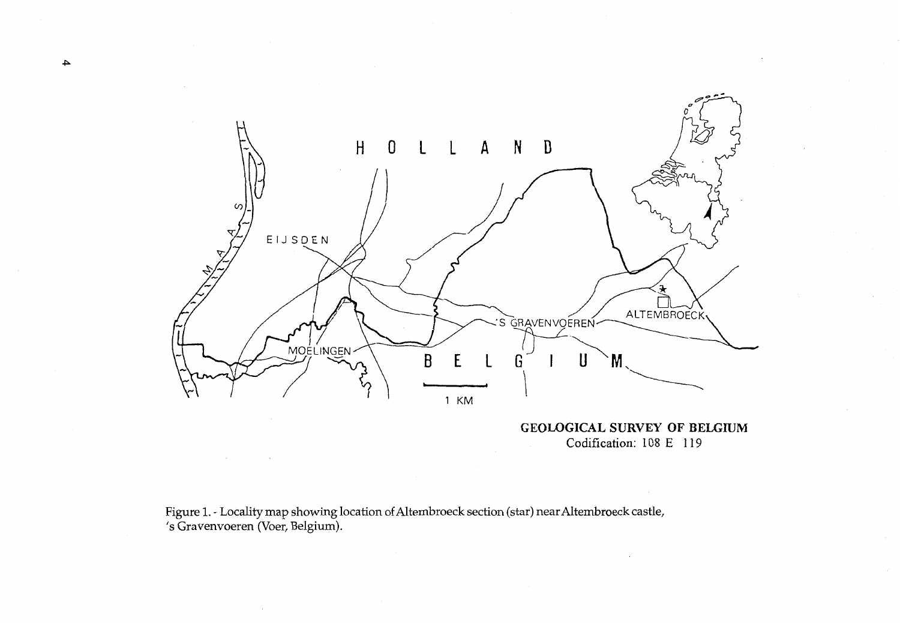

**GEOWGICAL SURVEY OF BELGIUM**  Codification: 108 E 119

Figure 1.- Locality map showing location ofAltembroeck section (star) near Altembroeck castle, 's Gravenvoeren (Voer, Belgium).

 $\sim$ 

**.j:>.**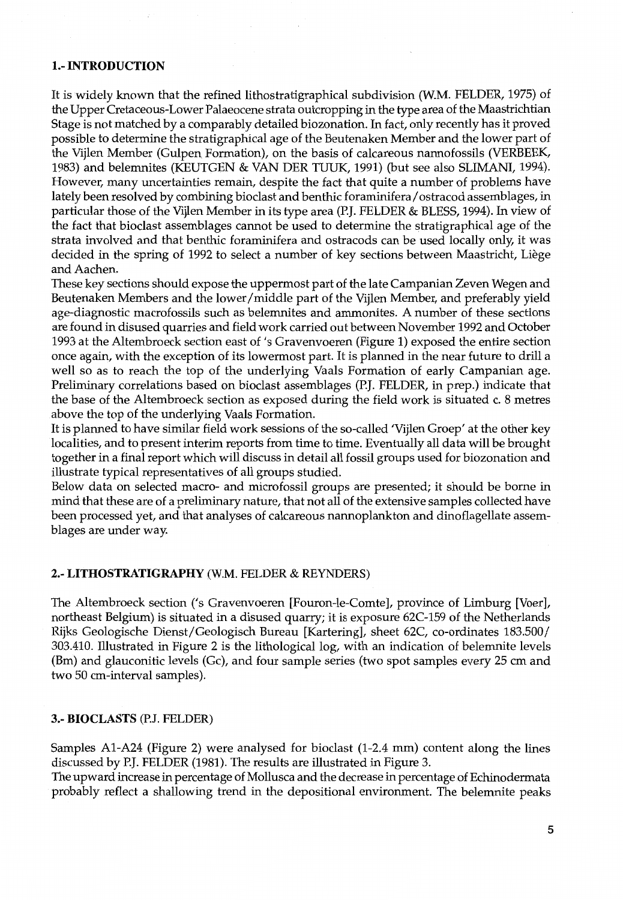# 1.-INTRODUCTION

It is widely known that the refined lithostratigraphical subdivision (W.M. FELDER, 1975) of the Upper Cretaceous-Lower Palaeocene strata outcropping in the type area of the Maastrichtian Stage is not matched by a comparably detailed biozonation. In fact, only recently has it proved possible to determine the stratigraphical age of the Beutenaken Member and the lower part of the Vijlen Member (Gulpen Formation), on the basis of calcareous nannofossils (VERBEEK, 1983) and belemnites (KEUTGEN & VAN DER TUUK, 1991) (but see also SLIMANI, 1994). However, many uncertainties remain, despite the fact that quite a number of problems have lately been resolved by combining bioclast and benthic foraminifera/ ostracod assemblages, in particular those of the Vijlen Member in its type area (P.J. FELDER & BLESS, 1994). In view of the fact that bioclast assemblages cannot be used to determine the stratigraphical age of the strata involved and that benthic foraminifera and ostracods can be used locally only, it was decided in the spring of 1992 to select a number of key sections between Maastricht, Liege and Aachen.

These key sections should expose the uppermost part of the late Campanian Zeven Wegen and Beutenaken Members and the lower/middle part of the Vijlen Member, and preferably yield age-diagnostic macrofossils such as belemnites and ammonites. A number of these sections are found in disused quarries and field work carried out between November 1992 and October 1993 at the Altembroeck section east of's Gravenvoeren (Figure 1} exposed the entire section once again, with the exception of its lowermost part. It is planned in the near future to drill a well so as to reach the top of the underlying Vaals Formation of early Campanian age. Preliminary correlations based on bioclast assemblages (P.J. FELDER, in prep.) indicate that the base of the Altembroeck section as exposed during the field work is situated c. 8 metres above the top of the underlying Vaals Formation.

It is planned to have similar field work sessions of the so-called 'Vijlen Groep' at the other key localities, and to present interim reports from time to time. Eventually all data will be brought together in a final report which will discuss in detail all fossil groups used for biozonation and illustrate typical representatives of all groups studied.

Below data on selected macro- and microfossil groups are presented; it should be borne in mind that these are of a preliminary nature, that not all of the extensive samples collected have been processed yet, and that analyses of calcareous nannoplankton and dinoflagellate assemblages are under way.

# 2.- LITHOSTRATIGRAPHY (W.M. FELDER & REYNDERS)

The Altembroeck section ('s Gravenvoeren [Fouron-le-Comte], province of Limburg [Voer], northeast Belgium) is situated in a disused quarry; it is exposure 62C-159 of the Netherlands Rijks Geologische Dienst/Geologisch Bureau [Kartering], sheet 62C, co-ordinates 183.500/ 303.410. Illustrated in Figure 2 is the lithological log, with an indication of belemnite levels (Bm) and glauconitic levels (Gc), and four sample series (two spot samples every 25 em and two 50 em-interval samples).

#### 3.- BIOCLASTS (P.J. FELDER)

Samples A1-A24 (Figure 2) were analysed for bioclast (1-2.4 mm) content along the lines discussed by P.J. FELDER (1981). The results are illustrated in Figure 3.

The upward increase in percentage of Mollusca and the decrease in percentage of Echinodermata probably reflect a shallowing trend in the depositional environment. The belemnite peaks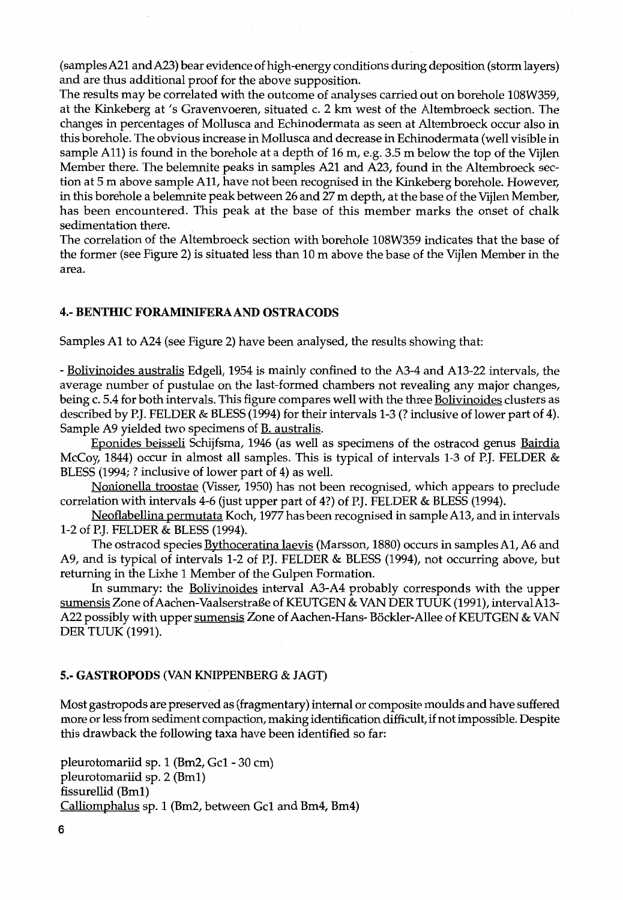(samplesA21 andA23) bear evidence of high-energy conditions during deposition (storm layers) and are thus additional proof for the above supposition.

The results may be correlated with the outcome of analyses carried out on borehole 108W359, at the Kinkeberg at's Gravenvoeren, situated c. 2 km west of the Altembroeck section. The changes in percentages of Mollusca and Echinodermata as seen at Altembroeck occur also in this borehole. The obvious increase in Mollusca and decrease in Echinodermata (well visible in sample All) is found in the borehole at a depth of 16m, e.g. 3.5 m below the top of the Vijlen Member there. The belemnite peaks in samples A21 and A23, found in the Altembroeck section at 5 m above sample All, have not been recognised in the Kinkeberg borehole. However, in this borehole a belemnite peak between 26 and 27 m depth, at the base of the Vijlen Member, has been encountered. This peak at the base of this member marks the onset of chalk sedimentation there.

The correlation of the Altembroeck section with borehole 108W359 indicates that the base of the former (see Figure 2) is situated less than 10m above the base of the Vijlen Member in the area.

#### 4.- BENTHIC FORAMINIFERAAND OSTRACODS

Samples A1 to A24 (see Figure 2) have been analysed, the results showing that:

- Bolivinoides australis Edgell, 1954 is mainly confined to the A3-4 and A13-22 intervals, the average number of pustulae on the last-formed chambers not revealing any major changes, being c. 5.4 for both intervals. This figure compares well with the three **Bolivinoides** clusters as described by P.J. FELDER & BLESS (1994) for their intervals 1-3 (? inclusive of lower part of 4). Sample A9 yielded two specimens of <u>B. australis</u>.

Eponides beisseli Schijfsma, 1946 (as well as specimens of the ostracod genus Bairdia McCoy, 1844) occur in almost all samples. This is typical of intervals 1-3 of P.J. FELDER & BLESS (1994;? inclusive of lower part of 4) as well.

Nonionella troostae (Visser, 1950) has not been recognised, which appears to preclude correlation with intervals 4-6 (just upper part of 4?) of P.J. FELDER & BLESS (1994).

Neoflabellina permutata Koch, 1977 has been recognised in sample A13, and in intervals 1-2 of P.J. FELDER & BLESS (1994).

The ostracod species Bythoceratina laevis (Marsson, 1880) occurs in samples A1, A6 and A9, and is typical of intervals 1-2 of P.J. FELDER & BLESS (1994), not occurring above, but returning in the Lixhe 1 Member of the Gulpen Formation.

In summary: the Bolivinoides interval A3-A4 probably corresponds with the upper sumensis Zone of Aachen-Vaalserstraße of KEUTGEN & VAN DER TUUK (1991), interval A13-A22 possibly with upper sumensis Zone of Aachen-Hans-Böckler-Allee of KEUTGEN & VAN DER TUUK (1991).

#### 5.- GASTROPODS (VAN KNIPPENBERG & JAGT)

Most gastropods are preserved as (fragmentary) internal or composite moulds and have suffered more or less from sediment compaction, making identification difficult, if not impossible. Despite this drawback the following taxa have been identified so far:

pleurotomariid sp. 1 (Bm2, Gel - 30 em) pleurotomariid sp. 2 (Bm1) fissurellid (Bm1) Calliomphalus sp. 1 (Bm2, between Gel and Bm4, Bm4)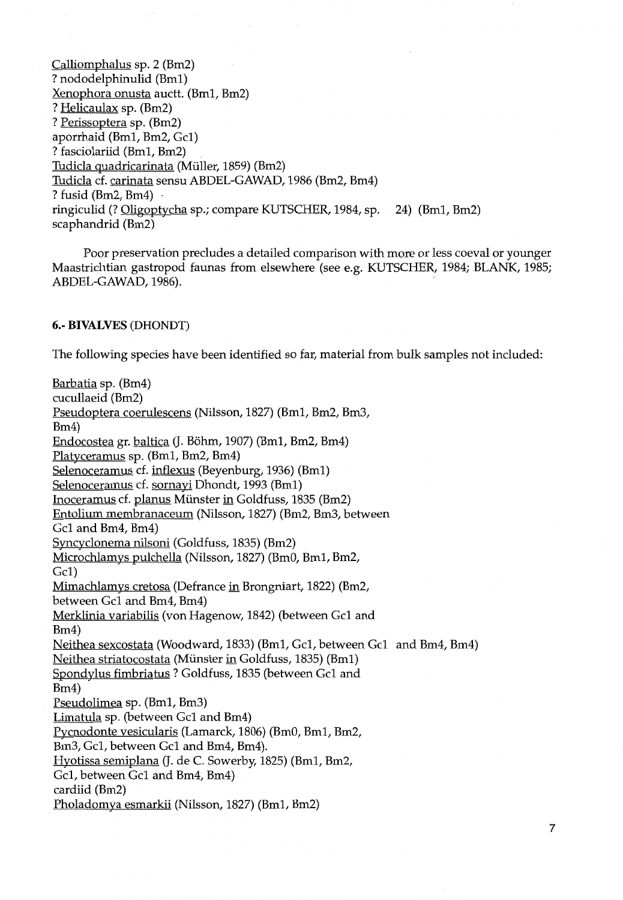Calliomphalus sp. 2 (Bm2) ? nododelphinulid (Bm1) Xenophora onusta auctt. (Bm1, Bm2) ? Helicaulax sp. (Bm2) ? Perissoptera sp. (Bm2) aporrhaid (Bm1, Bm2, Gel} ? fasciolariid (Bm1, Bm2) Tudicla quadricarinata (Muller, 1859) (Bm2) Tudicla cf. carinata sensu ABDEL-GAWAD, 1986 (Bm2, Bm4) ? fusid  $(Bm2, Bm4)$ ringiculid (? Oligoptycha sp.; compare KUTSCHER, 1984, sp. 24) (Bm1, Bm2) scaphandrid (Bm2)

Poor preservation precludes a detailed comparison with more or less coeval or younger Maastrichtian gastropod faunas from elsewhere (see e.g. KUTSCHER, 1984; BLANK, 1985; ABDEL-GAWAD, 1986).

# 6.- BIVALVES (DHONDT)

The following species have been identified so far, material from bulk samples not included:

Barbatia sp. (Bm4) cucullaeid (Bm2) Pseudoptera coerulescens (Nilsson, 1827) (Bm1, Bm2, Bm3, Bm4) Endocostea gr. baltica (J. Bohm, 1907) (Bm1, Bm2, Bm4) Platyceramus sp. (Bm1, Bm2, Bm4) Selenoceramus cf. inflexus (Beyenburg, 1936) (Bm1) Selenoceramus cf. sornayi Dhondt, 1993 (Bm1) Inoceramus cf. planus Miinster in Goldfuss, 1835 (Bm2) Entolium membranaceum (Nilsson, 1827) (Bm2, Bm3, between Gel and Bm4, Bm4) Syncyclonema nilsoni (Goldfuss, 1835) (Bm2) Microchlamys pulchella (Nilsson, 1827) (BmO, Bm1, Bm2, Gel) Mimachlamys cretosa (Defrance in Brongniart, 1822) (Bm2, between Gel and Bm4, Bm4) Merklinia variabilis (von Hagenow, 1842) (between Gel and Bm4) Neithea sexcostata (Woodward, 1833) (Bm1, Gel, between Gel and Bm4, Bm4) Neithea striatocostata (Munster in Goldfuss, 1835) (Bm1) Spondylus fimbriatus ? Goldfuss, 1835 (between Gel and Bm4) Pseudolimea sp. (Bm1, Bm3) Limatula sp. (between Gel and Bm4) Pycnodonte vesicularis (Lamarck, 1806) (BmO, Bm1, Bm2, Bm3, Gel, between Gel and Bm4, Bm4). Hyotissa semiplana (J. de C. Sowerby, 1825) (Bm1, Bm2, Gel, between Gel and Bm4, Bm4) cardiid (Bm2) Pholadomya esmarkii (Nilsson, 1827) (Bm1, Bm2)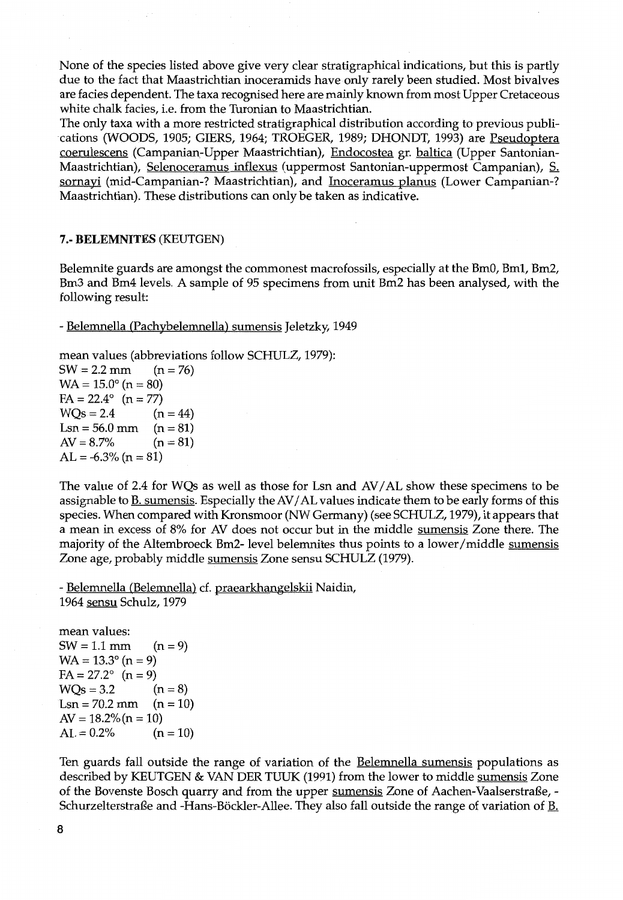None of the species listed above give very clear stratigraphical indications, but this is partly due to the fact that Maastrichtian inoceramids have only rarely been studied. Most bivalves are facies dependent. The taxa recognised here are mainly known from most Upper Cretaceous white chalk facies, i.e. from the Turonian to Maastrichtian.

The only taxa with a more restricted stratigraphical distribution according to previous publications (WOODS, 1905; GIERS, 1964; TROEGER, 1989; DHONDT, 1993) are Pseudoptera coerulescens (Campanian.-Upper Maastrichtian), Endocostea gr. baltica (Upper Santonian-Maastrichtian), Selenoceramus inflexus (uppermost Santonian-uppermost Campanian), S. sornayi (mid-Campanian-? Maastrichtian), and Inoceramus planus (Lower Campanian-? Maastrichtian). These distributions can only be taken as indicative.

#### 7.- BELEMNITES (KEUTGEN)

Belemnite guards are amongst the commonest macrofossils, especially at the BmO, Bm1, Bm2, Bm3 and Bm4 levels. A sample of 95 specimens from unit Bm2 has been analysed, with the following result:

- Belemnella (Pachybelemnella) sumensis Jeletzky, 1949

mean values (abbreviations follow SCHULZ, 1979):  $SW = 2.2$  mm (n = 76)  $WA = 15.0^{\circ} (n = 80)$  $FA = 22.4^{\circ}$   $(n = 77)$  $WOs = 2.4$  (n = 44)  $Lsn = 56.0$  mm (n = 81)  $AV = 8.7\%$   $(n = 81)$  $AL = -6.3\% (n = 81)$ 

The value of 2.4 for WQs as well as those for Lsn and AV/AL show these specimens to be assignable to **B**. sumensis. Especially the AV/AL values indicate them to be early forms of this species. When compared with Kronsmoor (NW Germany) (see SCHULZ, 1979), it appears that a mean in excess of 8% for AV does not occur but in the middle sumensis Zone there. The majority of the Altembroeck Bm2-level belemnites thus points to a lower/middle sumensis Zone age, probably middle sumensis Zone sensu SCHULZ (1979).

- Belemnella (Belemnella) cf. praearkhangelskii Naidin, 1964 sensu Schulz, 1979

mean values:  $SW = 1.1$  mm  $(n = 9)$  $WA = 13.3^{\circ} (n = 9)$  $FA = 27.2^{\circ}$   $(n = 9)$  $WQs = 3.2$  (n = 8)  $Lsn = 70.2$  mm (n = 10)  $AV = 18.2\% (n = 10)$  $AL = 0.2\%$   $(n = 10)$ 

Ten guards fall outside the range of variation of the **Belemnella sumensis** populations as described by KEUTGEN & VAN DER TUUK (1991) from the lower to middle sumensis Zone of the Bovenste Bosch quarry and from the upper sumensis Zone of Aachen-Vaalserstraße, -Schurzelterstraße and -Hans-Böckler-Allee. They also fall outside the range of variation of <u>B.</u>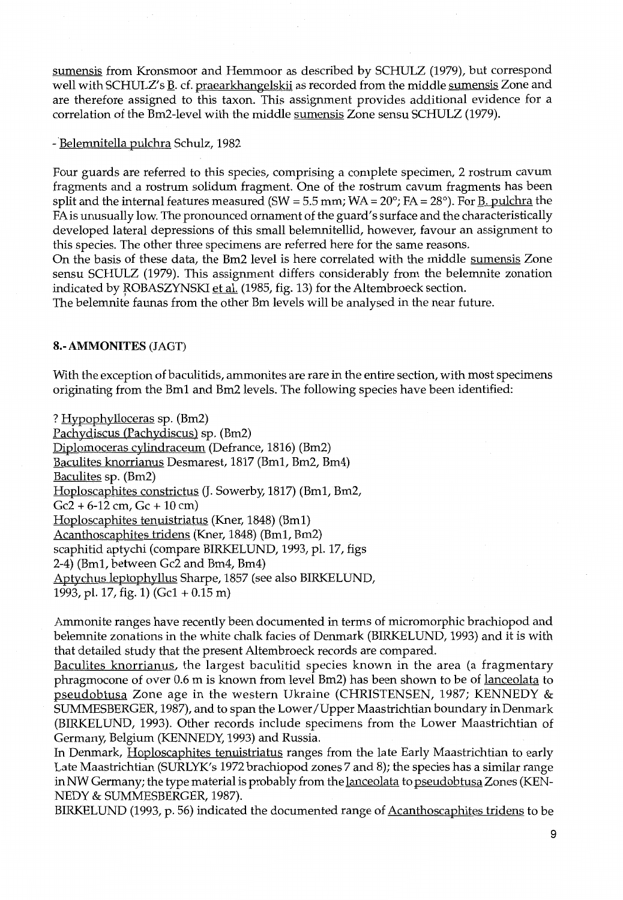sumensis from Kronsmoor and Hemmoor as described by SCHULZ (1979), but correspond well with SCHULZ's B. cf. praearkhangelskii as recorded from the middle sumensis Zone and are therefore assigned to this taxon. This assignment provides additional evidence for a correlation of the Bm2-level with the middle sumensis Zone sensu SCHULZ (1979).

- Belemnitella pulchra Schulz, 1982

Four guards are referred to this species, comprising a complete specimen, 2 rostrum cavum fragments and a rostrum solidum fragment. One of the rostrum cavum fragments has been split and the internal features measured (SW =  $5.5$  mm; WA =  $20^{\circ}$ ; FA =  $28^{\circ}$ ). For B. pulchra the FA is unusually low. The pronounced ornament of the guard's surface and the characteristically developed lateral depressions of this small belemnitellid, however, favour an assignment to this species. The other three specimens are referred here for the same reasons.

On the basis of these data, the Bm2 level is here correlated with the middle sumensis Zone sensu SCHULZ (1979). This assignment differs considerably from the belemnite zonation indicated by ROBASZYNSKI et al. (1985, fig. 13) for the Altembroeck section.

The belemnite faunas from the other Bm levels will be analysed in the near future.

# 8.- AMMONITES (JAGT)

With the exception of baculitids, ammonites are rare in the entire section, with most specimens originating from the Bm1 and Bm2 levels. The following species have been identified:

? Hypophylloceras sp. (Bm2) Pachydiscus (Pachydiscus) sp. (Bm2) Diplomoceras cylindraceum (Defrance, 1816) (Bm2) Baculites knorrianus Desmarest, 1817 (Bm1, Bm2, Bm4) Baculites sp. (Bm2) Hoploscaphites constrictus (J. Sowerby, 1817) (Bm1, Bm2,  $Gc2 + 6-12$  cm,  $Gc + 10$  cm) Hoploscaphites tenuistriatus (Kner, 1848) (Bm1) Acanthoscaphites tridens (Kner, 1848) (Bm1, Bm2) scaphitid aptychi (compare BIRKELUND, 1993, pl. 17, figs 2-4) (Bm1, between Gc2 and Bm4, Bm4) Aptychus leptophyllus Sharpe, 1857 (see also BIRKELUND, 1993, pl. 17, fig. 1) (Gel + 0.15 m)

Ammonite ranges have recently been documented in terms of micromorphic brachiopod and belemnite zonations in the white chalk facies of Denmark (BIRKELUND, 1993) and it is with that detailed study that the present Altembroeck records are compared.

Baculites knorrianus, the largest baculitid species known in the area (a fragmentary phragmocone of over 0.6 m is known from level Bm2) has been shown to be of lanceolata to pseudobtusa Zone age in the western Ukraine (CHRISTENSEN, 1987; KENNEDY & SUMMESBERGER, 1987), and to span the Lower /Upper Maastrichtian boundary in Denmark (BIRKELUND, 1993). Other records include specimens from the Lower Maastrichtian of Germany, Belgium (KENNEDY, 1993) and Russia.

In Denmark, Hoploscaphites tenuistriatus ranges from the late Early Maastrichtian to early Late Maastrichtian (SURLYK's 1972 brachiopod zones 7 and 8); the species has a similar range in NW Germany; the type material is probably from the lanceolata to pseudobtusa Zones (KEN-NEDY & SUMMESBERGER, 1987).

BIRKELUND (1993, p. 56) indicated the documented range of Acanthoscaphites tridens to be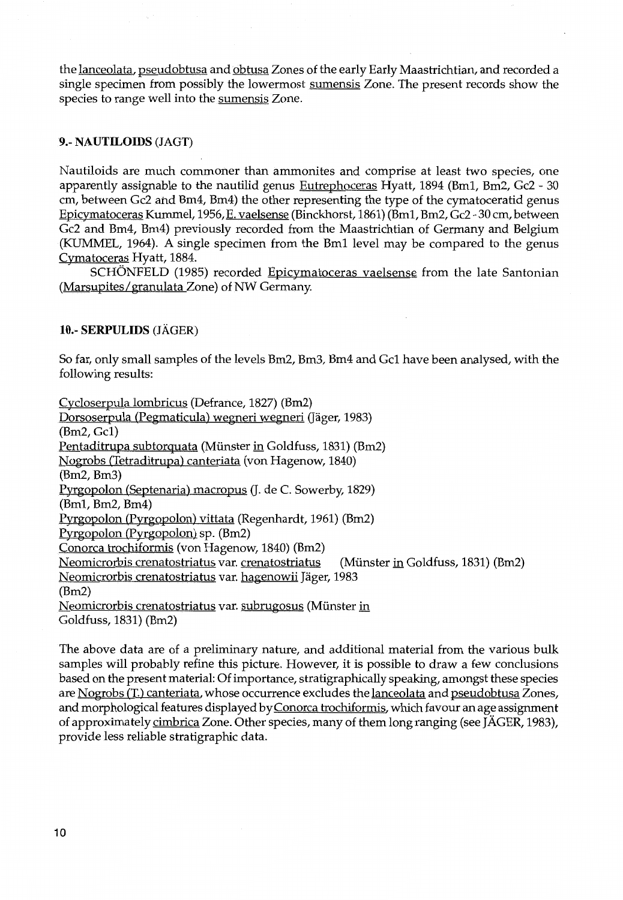the lanceolata, pseudobtusa and obtusa Zones of the early Early Maastrichtian, and recorded a single specimen from possibly the lowermost sumensis Zone. The present records show the species to range well into the sumensis Zone.

# 9.- NAUTILOIDS (JAGT)

Nautiloids are much commoner than ammonites and comprise at least two species, one apparently assignable to the nautilid genus Eutrephoceras Hyatt, 1894 (Bm1, Bm2, Gc2 - 30 em, between Gc2 and Bm4, Bm4) the other representing the type of the cymatoceratid genus Epicymatoceras Kummel, 1956,E. vaelsense (Binckhorst, 1861) (Bm1, Bm2, Gc2- 30 em, between Gc2 and Bm4, Bm4) previously recorded from the Maastrichtian of Germany and Belgium (KUMMEL, 1964). A single specimen from the Bm1 level may be compared to the genus Cymatoceras Hyatt, 1884.

SCHONFELD (1985) recorded Epicymatoceras vaelsense from the late Santonian (Marsupites/granulata Zone) of NW Germany.

#### 10.- SERPULIDS (JAGER)

So far, only small samples of the levels Bm2, Bm3, Bm4 and Gel have been analysed, with the following results:

Cycloserpula lombricus (Defrance, 1827) (Bm2) Dorsoserpula (Pegmaticula) wegneri wegneri (Jäger, 1983) (Bm2, Gel) Pentaditrupa subtorquata (Miinster in Goldfuss, 1831) (Bm2) Nogrobs (Tetraditrupa) canteriata (von Hagenow, 1840) (Bm2, Bm3) Pyrgopolon (Septenaria) macropus (J. de C. Sowerby, 1829) (Bm1, Bm2, Bm4) Pyrgopolon (Pyrgopolon) vittata (Regenhardt, 1961) (Bm2) Pyrgopolon (Pyrgopolon) sp. (Bm2) Conorca trochiformis (von Hagenow, 1840) (Bm2) Neomicrorbis crenatostriatus var. crenatostriatus (Munster in Goldfuss, 1831) (Bm2) Neomicrorbis crenatostriatus var. hagenowii Jäger, 1983 (Bm2) Neomicrorbis crenatostriatus var. subrugosus (Miinster in Goldfuss, 1831) (Bm2)

The above data are of a preliminary nature, and additional material from the various bulk samples will probably refine this picture. However, it is possible to draw a few conclusions based on the present material: Of importance, stratigraphically speaking, amongst these species are Nogrobs (T.) canteriata, whose occurrence excludes the lanceolata and pseudobtusa Zones, and morphological features displayed byConorca trochiformis, which favour an age assignment of approximately cimbrica Zone. Other species, many of them long ranging (see JAGER, 1983), provide less reliable stratigraphic data.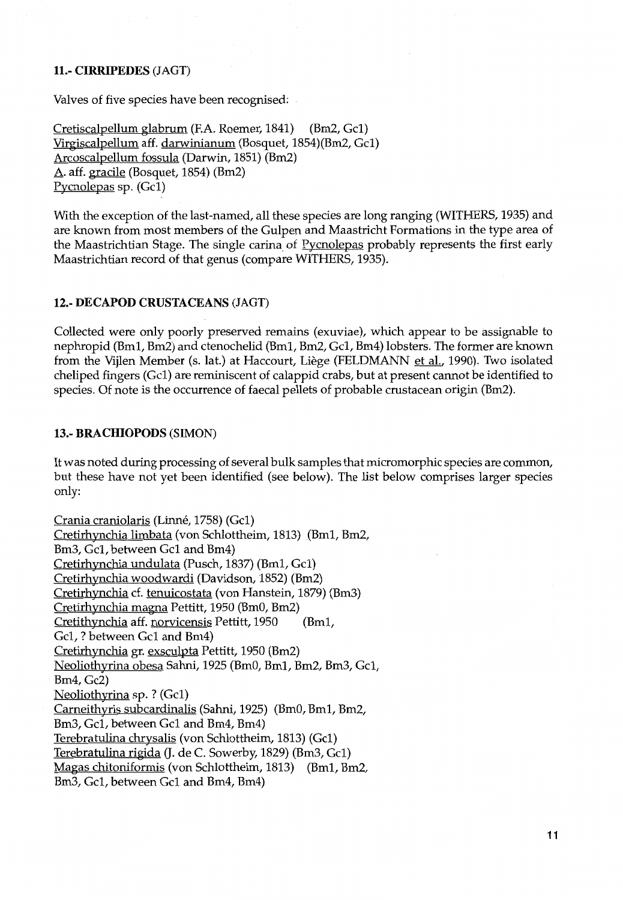# 11.- CIRRIPEDES (JAGT)

Valves of five species have been recognised:

Cretiscalpellum glabrum (F.A. Roemer, 1841} (Bm2, Gel) Virgiscalpellum aff. darwinianum (Bosquet, 1854)(Bm2, Gel} Arcoscalpellum fossula (Darwin, 1851) (Bm2) A. aff. gracile (Bosquet, 1854} (Bm2) Pycnolepas sp. (Gel)

With the exception of the last-named, all these species are long ranging (WITHERS, 1935) and are known from most members of the Gulpen and Maastricht Formations in the type area of the Maastrichtian Stage. The single carina of Pycnolepas probably represents the first early Maastrichtian record of that genus (compare WITHERS, 1935).

#### 12.- DECAPOD CRUSTACEANS (JAGT)

Collected were only poorly preserved remains (exuviae), which appear to be assignable to nephropid (Bm1, Bm2) and ctenochelid (Bm1, Bm2, Gel, Bm4) lobsters. The former are known from the Vijlen Member (s. lat.) at Haccourt, Liège (FELDMANN et al., 1990). Two isolated cheliped fingers (Gel) are reminiscent of calappid crabs, but at present cannot be identified to species. Of note is the occurrence of faecal pellets of probable crustacean origin (Bm2).

#### 13.- BRACHIOPODS (SIMON)

It was noted during processing of several bulk samples that micromorphic species are common, but these have not yet been identified (see below). The list below comprises larger species only:

Crania craniolaris (Linné, 1758) (Gc1) Cretirhynchia limbata (von Schlottheim, 1813) (Bm1, Bm2, Bm3, Gel, between Gel and Bm4) Cretirhynchia undulata (Pusch, 1837) (Bm1, Gel} Cretirhynchia woodwardi (Davidson, 1852) (Bm2) Cretirhynchia cf. tenuicostata (von Hanstein, 1879) (Bm3} Cretirhynchia magna Pettitt, 1950 (BmO, Bm2) Cretithynchia aff. norvicensis Pettitt, 1950 (Bm1, Gel, ? between Gel and Bm4) Cretirhynchia gr. exsculpta Pettitt, 1950 (Bm2) Neoliothyrina obesa Sahni, 1925 (BmO, Bm1, Bm2, Bm3, Gel, Bm4, Gc2) Neoliothyrina sp. ? (Gel) Carneithyris subcardinalis (Sahni, 1925) (BmO, Bm1, Bm2, Bm3, Gel, between Gel and Bm4, Bm4) Terebratulina chrysalis (von Schlottheim, 1813) (Gel) Terebratulina rigida (J. de C. Sowerby, 1829) (Bm3, Gc1) Magas chitoniformis (von Schlottheim, 1813) (Bm1, Bm2, Bm3, Gel, between Gel and Bm4, Bm4)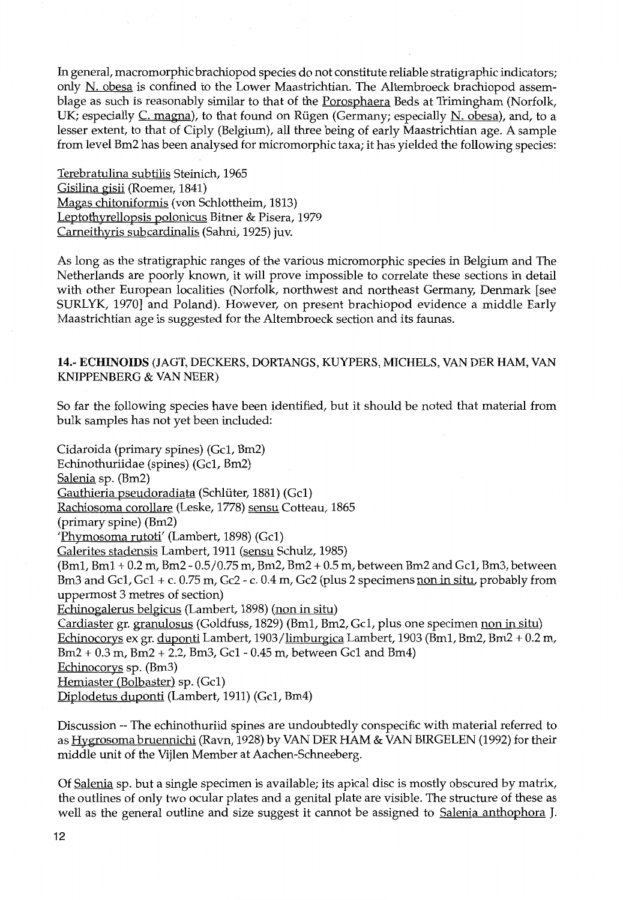In general, macromorphic brachiopod species do not constitute reliable stratigraphic indicators; only N. obesa is confined to the Lower Maastrichtian. The Altembroeck brachiopod assemblage as such is reasonably similar to that of the Porosphaera Beds at Trimingham (Norfolk, UK; especially C. magna), to that found on Rügen (Germany; especially N. obesa), and, to a lesser extent, to that of Ciply (Belgium), all three being of early Maastrichtian age. A sample from level Bm2 has been analysed for micromorphic taxa; it has yielded the following species:

Terebratulina subtilis Steinich, 1965 Gisilina gisii (Roemer, 1841) Magas chitoniformis (von Schlottheim, 1813) Leptothyrellopsis polonicus Bitner & Pisera, 1979 Carneithyris subcardinalis (Sahni, 1925) juv.

As long as the stratigraphic ranges of the various micromorphic species in Belgium and The Netherlands are poorly known, it will prove impossible to correlate these sections in detail with other European localities (Norfolk, northwest and northeast Germany, Denmark [see SURLYK, 1970] and Poland). However, on present brachiopod evidence a middle Early Maastrichtian age is suggested for the Altembroeck section and its faunas.

# 14.- ECHINOIDS (JAGT, DECKERS, DORTANGS, KUYPERS, MICHELS, VAN DER HAM, VAN KNIPPENBERG & VAN NEER)

So far the following species have been identified, but it should be noted that material from bulk samples has not yet been included:

Cidaroida (primary spines) (Gel, Bm2) Echinothuriidae (spines) (Gel, Bm2) Salenia sp. (Bm2) Gauthieria pseudoradiata (Schlüter, 1881) (Gc1) Rachiosoma corollare (Leske, 1778) sensu Cotteau, 1865 (primary spine) (Bm2) 'Phymosoma rutoti' (Lambert, 1898) (Gel) Galerites stadensis Lambert, 1911 (sensu Schulz, 1985) (Bm1, Bm1 + 0.2 m, Bm2- 0.5/0.75 m, Bm2, Bm2 + 0.5 m, between Bm2 and Gel, Bm3, between Bm3 and Gc1, Gc1 + c. 0.75 m, Gc2 - c. 0.4 m, Gc2 (plus 2 specimens non in situ, probably from uppermost 3 metres of section) Echinogalerus belgicus (Lambert, 1898) (non in situ) Cardiaster gr. granulosus (Goldfuss, 1829) (Bm1, Bm2, Gel, plus one specimen non in situ) Echinocorys ex gr. duponti Lambert, 1903/limburgica Lambert, 1903 (Bm1, Bm2, Bm2 + 0.2 m, Bm2 + 0.3 m, Bm2 + 2.2, Bm3, Gel - 0.45 m, between Gel and Bm4) Echinocorys sp. (Bm3) Hemiaster (Bolbaster) sp. (Gel) Diplodetus duponti (Lambert, 1911) (Gel, Bm4)

Discussion -- The echinothuriid spines are undoubtedly conspecific with material referred to as Hygrosoma bruennichi (Ravn, 1928) by VANDER HAM & VAN BIRGELEN (1992) for their middle unit of the Vijlen Member at Aachen-Schneeberg.

Of Salenia sp. but a single specimen is available; its apical disc is mostly obscured by matrix, the outlines of only two ocular plates and a genital plate are visible. The structure of these as well as the general outline and size suggest it cannot be assigned to Salenia anthophora J.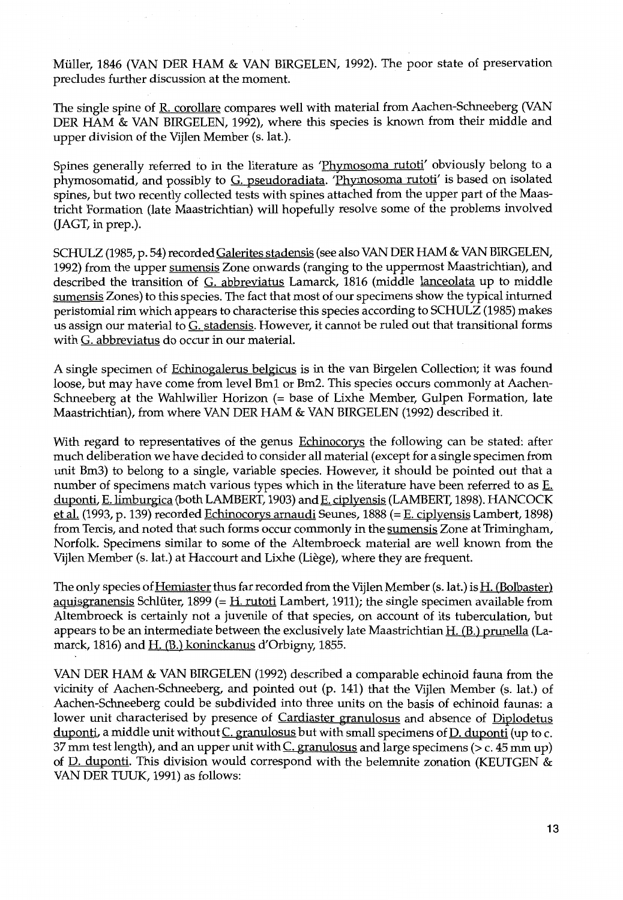Müller, 1846 (VAN DER HAM & VAN BIRGELEN, 1992). The poor state of preservation precludes further discussion at the moment.

The single spine of R. corollare compares well with material from Aachen-Schneeberg (VAN DER HAM & VAN BIRGELEN, 1992), where this species is known from their middle and upper division of the Vijlen Member (s.lat.).

Spines generally referred to in the literature as 'Phymosoma rutoti' obviously belong to a phymosomatid, and possibly to G. pseudoradiata. 'Phymosoma rutoti' is based on isolated spines, but two recently collected tests with spines attached from the upper part of the Maastricht Formation (late Maastrichtian) will hopefully resolve some of the problems involved (JAGT, in prep.).

SCHULZ (1985, p. 54) recorded Galerites stadensis (see also VAN DER HAM & VAN BIRGELEN, 1992) from the upper sumensis Zone onwards (ranging to the uppermost Maastrichtian), and described the transition of G. abbreviatus Lamarck, 1816 (middle lanceolata up to middle sumensis Zones) to this species. The fact that most of our specimens show the typical inturned peristomial rim which appears to characterise this species according to SCHULZ (1985) makes us assign our material to G. stadensis. However, it cannot be ruled out that transitional forms with G. abbreviatus do occur in our materiaL

A single specimen of Echinogalerus belgicus is in the van Birgelen Collection; it was found loose, but may have come from level Bm1 or Bm2. This species occurs commonly at Aachen-Schneeberg at the Wahlwiller Horizon (= base of Lixhe Member, Gulpen Formation, late Maastrichtian), from where VAN DER HAM & VAN BIRGELEN (1992) described it.

With regard to representatives of the genus Echinocorys the following can be stated: after much deliberation we have decided to consider all material (except for a single specimen from unit Bm3) to belong to a single, variable species. However, it should be pointed out that a number of specimens match various types which in the literature have been referred to as  $E$ . duponti, E. limburgica (both LAMBERT, 1903) and E. ciplyensis (LAMBERT, 1898). HANCOCK et al. (1993, p. 139) recorded Echinocorys arnaudi Seunes, 1888 (= E. ciplyensis Lambert, 1898) from Tercis, and noted that such forms occur commonly in the sumensis Zone at Trimingham, Norfolk. Specimens similar to some of the Altembroeck material are well known from the Vijlen Member (s.lat.) at Haccourt and Lixhe (Liege), where they are frequent.

The only species of Hemiaster thus far recorded from the Vijlen Member (s. lat.) is H. (Bolbaster) aquisgranensis Schlüter, 1899 (=  $H$ . rutoti Lambert, 1911); the single specimen available from Altembroeck is certainly not a juvenile of that species, on account of its tuberculation, but appears to be an intermediate between the exclusively late Maastrichtian H. (B.) prunella (Lamarck, 1816) and H. (B.) koninckanus d'Orbigny, 1855.

VANDER HAM & VAN BIRGELEN (1992) described a comparable echinoid fauna from the vicinity of Aachen-Schneeberg, and pointed out (p. 141) that the Vijlen Member (s. lat.) of Aachen-Schneeberg could be subdivided into three units on the basis of echinoid faunas: a lower unit characterised by presence of Cardiaster granulosus and absence of Diplodetus duponti, a middle unit without  $C$ . granulosus but with small specimens of  $D$ . duponti (up to c. 37 mm test length), and an upper unit with  $C$ . granulosus and large specimens (> c. 45 mm up) of D. duponti. This division would correspond with the belemnite zonation (KEUTGEN & VAN DER TUUK, 1991) as follows: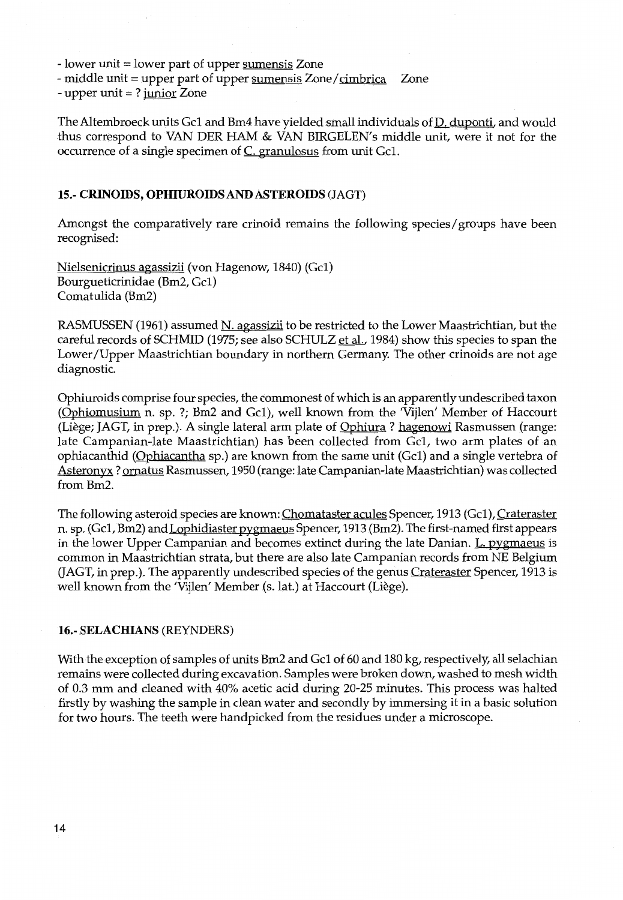- lower unit = lower part of upper sumensis Zone

- middle unit = upper part of upper sumensis Zone/cimbrica Zone

- upper unit  $= ?$  junior Zone

The Altembroeck units Gc1 and Bm4 have yielded small individuals of D. duponti, and would thus correspond to VAN DER HAM & VAN BIRGELEN's middle unit, were it not for the occurrence of a single specimen of  $C$ . granulosus from unit Gc1.

### 15.- **CRINOIDS, OPHIUROIDS AND ASTEROIDS** (JAGT)

Amongst the comparatively rare crinoid remains the following species/ groups have been recognised:

Nielsenicrinus agassizii (von Hagenow, 1840) (Gel) Bourgueticrinidae (Bm2, Gel) Comatulida (Bm2)

RASMUSSEN (1961) assumed N. agassizii to be restricted to the Lower Maastrichtian, but the careful records of SCHMID (1975; see also SCHULZ et al., 1984) show this species to span the Lower/Upper Maastrichtian boundary in northern Germany. The other crinoids are not age diagnostic.

Ophiuroids comprise four species, the commonest of which is an apparently undescribed taxon (Ophiomusium n. sp. ?; Bm2 and Gel), well known from the 'Vijlen' Member of Haccourt (Liège; JAGT, in prep.). A single lateral arm plate of Ophiura ? hagenowi Rasmussen (range: late Campanian-late Maastrichtian) has been collected from Gel, two arm plates of an ophiacanthid (Ophiacantha sp.) are known from the same unit (Gel) and a single vertebra of Asteronyx? ornatus Rasmussen, 1950 (range: late Campanian-late Maastrichtian) was collected fromBm2.

The following asteroid species are known: Chomataster acules Spencer, 1913 (Gc1), Crateraster n. sp. (Gel, Bm2) and Lophidiaster pygmaeus Spencer, 1913 (Bm2). The first-named first appears in the lower Upper Campanian and becomes extinct during the late Danian. L. pygmaeus is common in Maastrichtian strata, but there are also late Campanian records from NE Belgium (JAGT, in prep.). The apparently undescribed species of the genus Crateraster Spencer, 1913 is well known from the 'Vijlen' Member (s. lat.) at Haccourt (Liège).

#### 16.- SELACHIANS (REYNDERS)

With the exception of samples of units Bm2 and Gc1 of 60 and 180 kg, respectively, all selachian remains were collected during excavation. Samples were broken down, washed to mesh width of 0.3 mm and cleaned with 40% acetic acid during 20-25 minutes. This process was halted firstly by washing the sample in clean water and secondly by immersing it in a basic solution for two hours. The teeth were handpicked from the residues under a microscope.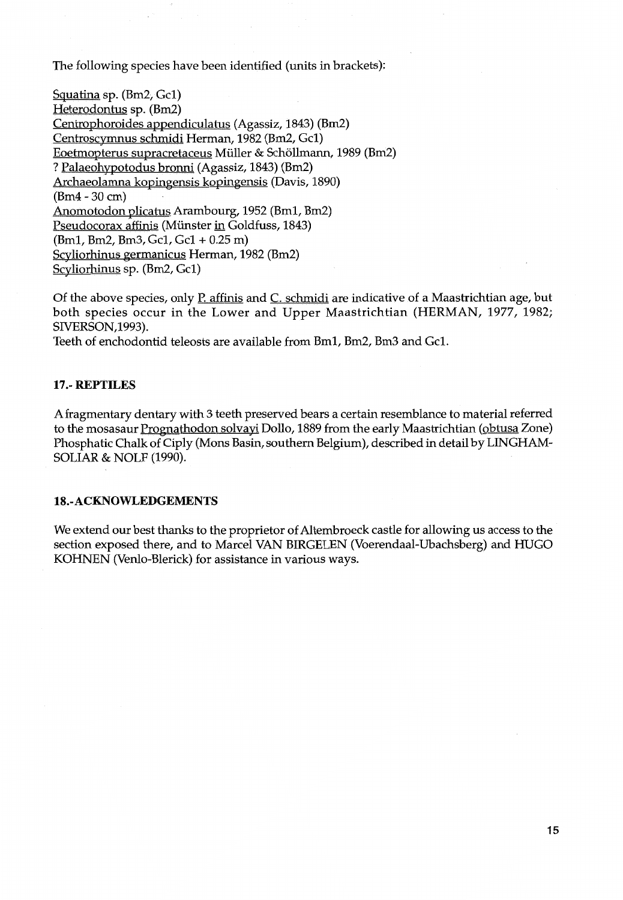The following species have been identified (units in brackets):

Squatina sp.  $(Bm2, Gc1)$ Heterodontus sp. (Bm2) Centrophoroides appendiculatus (Agassiz, 1843) (Bm2) Centroscymnus schmidi Herman, 1982 (Bm2, Gel) Eoetmopterus supracretaceus Muller & Schollmann, 1989 (Bm2) ? Palaeohypotodus bronni (Agassiz, 1843) (Bm2) Archaeolamna kopingensis kopingensis (Davis, 1890) (Bm4 -30 em) Anomotodon plicatus Arambourg, 1952 (Bml, Bm2) Pseudocorax affinis (Münster in Goldfuss, 1843) (Bml, Bm2, Bm3, Gel, Gel + 0.25 m) Scyliorhinus germanicus Herman, 1982 (Bm2) Scyliorhinus sp. (Bm2, Gel)

Of the above species, only P. affinis and C. schmidi are indicative of a Maastrichtian age, but both species occur in the Lower and Upper Maastrichtian (HERMAN, 1977, 1982; SIVERSON,1993).

Teeth of enchodontid teleosts are available from Bml, Bm2, Bm3 and Gel.

# **17.- REPTILES**

A fragmentary dentary with 3 teeth preserved bears a certain resemblance to material referred to the mosasaur Prognathodon solvayi Dollo, 1889 from the early Maastrichtian (obtusa Zone) Phosphatic Chalk of Ciply (Mons Basin, southern Belgium), described in detail by LINGHAM-SOLIAR & NOLF (1990).

#### **lB.-ACKNOWLEDGEMENTS**

We extend our best thanks to the proprietor of Altembroeck castle for allowing us access to the section exposed there, and to Marcel VAN BIRGELEN (Voerendaal-Ubachsberg) and HUGO KOHNEN (Venlo-Blerick) for assistance in various ways.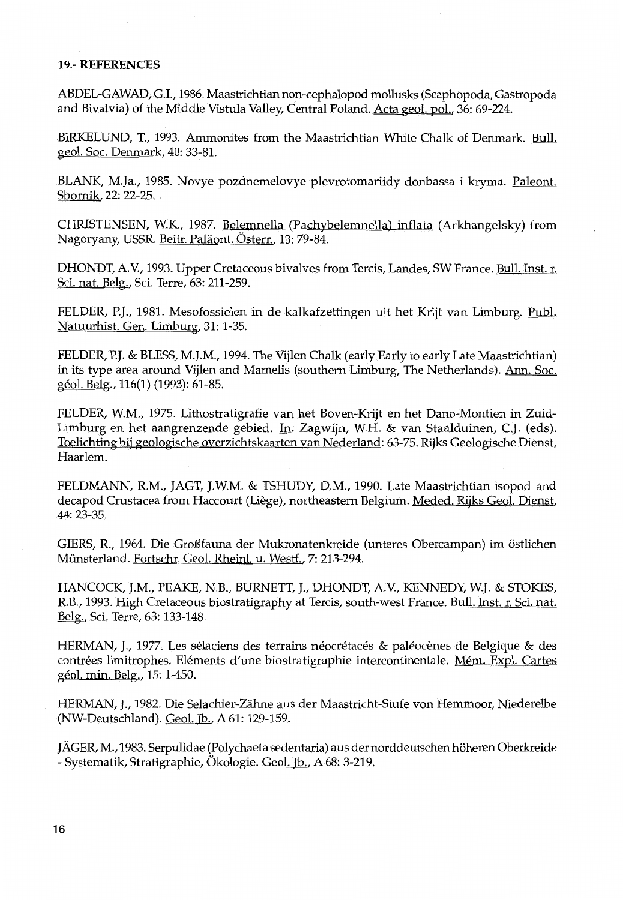### **19.- REFERENCES**

ABDEL-GAWAD, G.I., 1986. Maastrichtian non-cephalopod mollusks (Scaphopoda, Gastropoda and Bivalvia) of the Middle Vistula Valley, Central Poland. Acta geol. pol., 36: 69-224.

BIRKELUND, T., 1993. Ammonites from the Maastrichtian White Chalk of Denmark. Bull. geol. Soc. Denmark, 40:33-81.

BLANK, M.Ja., 1985. Novye pozdnemelovye plevrotomariidy donbassa i kryma. Paleont. Sbornik, 22: 22-25 ..

CHRISTENSEN, W.K., 1987. Belemnella (Pachybelemnella) inflata (Arkhangelsky) from Nagoryany, USSR. Beitr. Paläont. Österr., 13: 79-84.

DHONDT, A.V., 1993. Upper Cretaceous bivalves from Tercis, Landes, SW France. Bull. Inst. r. Sci. nat. Belg., Sci. Terre, 63: 211-259.

FELDER, P.J., 1981. Mesofossielen in de kalkafzettingen uit het Krijt van Limburg. Publ. Natuurhist. Gen. Limburg, 31: 1-35.

FELDER, P.J. & BLESS, M.J.M., 1994. The Vijlen Chalk (early Early to early Late Maastrichtian) in its type area around Vijlen and Mamelis (southern Limburg, The Netherlands). Ann. Soc. géol. Belg., 116(1) (1993): 61-85.

FELDER, W.M., 1975. Lithostratigrafie van het Boven-Krijt en het Dano-Montien in Zuid-Limburg en het aangrenzende gebied. In: Zagwijn, W.H. & van Staalduinen, C.J. (eds). Toelichting bij geologische overzichtskaarten van Nederland: 63-75. Rijks Geologische Dienst, Haarlem.

FELDMANN, R.M., JAGT, J.W.M. & TSHUDY, D.M., 1990. Late Maastrichtian isopod and decapod Crustacea from Haccourt (Liège), northeastern Belgium. Meded. Rijks Geol. Dienst, 44: 23-35.

GIERS, R., 1964. Die GroiSfauna der Mukronatenkreide (unteres Obercampan) im ostlichen Miinsterland. Fortschr. Geol. Rheinl. u. West£., 7: 213-294.

HANCOCK, J.M., PEAKE, N.B., BURNETT, J., DHONDT, A.V, KENNEDY, W.J. & STOKES, R.B., 1993. High Cretaceous biostratigraphy at Tercis, south-west France. Bull. Inst. r. Sci. nat. Belg., Sci. Terre, 63: 133-148.

HERMAN, J., 1977. Les selaciens des terrains neocretaces & paleocenes de Belgique & des contrées limitrophes. Eléments d'une biostratigraphie intercontinentale. Mém. Expl. Cartes geol. min. Belg., 15: 1-450.

HERMAN, J., 1982. Die Selachier-Zahne aus der Maastricht-Stufe von Hemmoor, Niederelbe (NW-Deutschland). Geol. Jb., A 61: 129-159.

JAGER, M., 1983. Serpulidae (Polychaeta sedentaria) a us der norddeutschen hoheren Oberkreide - Systematik, Stratigraphie, Okologie. Geol. Jb., A 68: 3-219.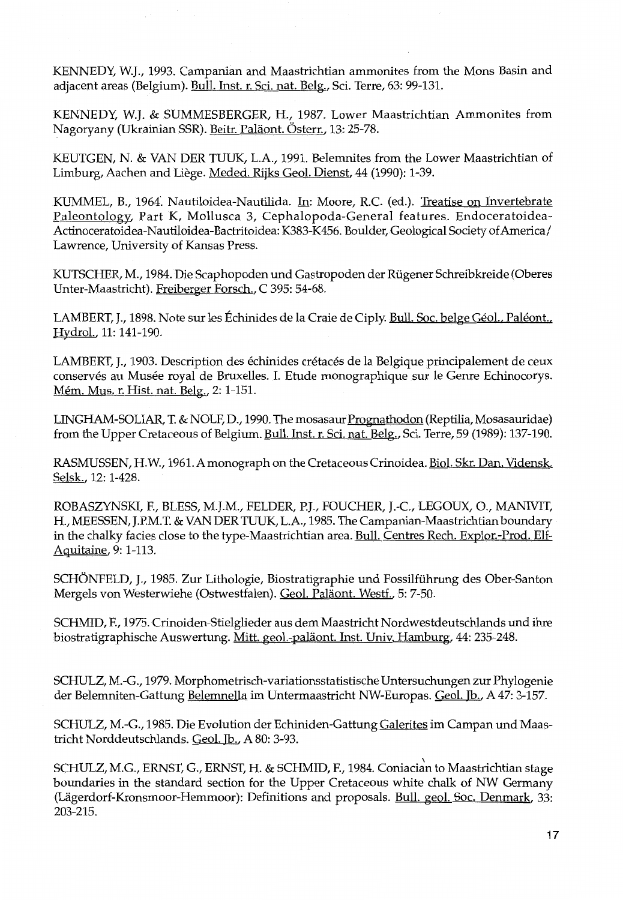KENNEDY, W.J., 1993. Campanian and Maastrichtian ammonites from the Mons Basin and adjacent areas (Belgium). Bull. Inst. r. Sci. nat. Belg., Sci. Terre, 63: 99-131.

KENNEDY, W.J. & SUMMESBERGER, H., 1987. Lower Maastrichtian Ammonites from Nagoryany (Ukrainian SSR). Beitr. Paläont. Österr., 13: 25-78.

KEUTGEN, N. & VANDER TUUK, L.A., 1991. Belemnites from the Lower Maastrichtian of Limburg, Aachen and Liege. Meded. Rijks Geol. Dienst, 44 (1990): 1-39.

KUMMEL, B., 1964. Nautiloidea-Nautilida. In: Moore, R.C. (ed.). Treatise on Invertebrate Paleontology, Part K, Mollusca 3, Cephalopoda-General features. Endoceratoidea-Actinoceratoidea-Nautiloidea-Bactritoidea: K383-K456. Boulder, Geological Society of America/ Lawrence, University of Kansas Press.

KUTSCHER, M., 1984. Die Scaphopoden und Gastropoden der Riigener Schreibkreide (Oberes Unter-Maastricht). Freiberger Forsch., C 395: 54-68.

LAMBERT, J., 1898. Note sur les Échinides de la Craie de Ciply. Bull. Soc. belge Géol., Paléont., Hydrol., 11: 141-190.

LAMBERT, J., 1903. Description des echinides cretaces de Ia Belgique principalement de ceux conservés au Musée royal de Bruxelles. I. Etude monographique sur le Genre Echinocorys. Mem. Mus. r. Hist. nat. Belg., 2: 1-151.

LINGHAM-SOLIAR, T. & NOLF, D., 1990. The mosasaur Prognathodon (Reptilia, Mosasauridae) from the Upper Cretaceous of Belgium. Bull. Inst. r. Sci. nat. Belg., Sci. Terre, 59 (1989): 137-190.

RASMUSSEN, H.W., 1961. A monograph on the Cretaceous Crinoidea. Biol. Skr. Dan. Vidensk. Selsk., 12: 1-428.

ROBASZYNSKI, F., BLESS, M.J.M., FELDER, P.J., FOUCHER, J.-C., LEGOUX, 0., MANIVIT, H., MEESSEN, J.P.M.T. & VANDER TUUK, L.A., 1985. The Campanian-Maastrichtian boundary in the chalky facies close to the type-Maastrichtian area. Bull. Centres Rech. Explor.-Prod. Elf-Aquitaine, 9: 1-113.

SCHONFELD, J., 1985. Zur Lithologie, Biostratigraphie und Fossilfiihrung des Ober-Santon Mergels von Westerwiehe (Ostwestfalen). Geol. Paläont. Westf., 5: 7-50.

SCHMID, F., 1975. Crinoiden-Stielglieder aus dem Maastricht Nordwestdeutschlands und ihre biostratigraphische Auswertung. Mitt. geol.-paläont. Inst. Univ. Hamburg, 44: 235-248.

SCHULZ, M.-G., 1979. Morphometrisch-variationsstatistische Untersuchungen zur Phylogenie der Belemniten-Gattung Belemnella im Untermaastricht NW-Europas. Geol. Jb., A 47: 3-157.

SCHULZ, M.-G., 1985. Die Evolution der Echiniden-Gattung Galerites im Campan und Maastricht Norddeutschlands. Geol. Jb., A 80: 3-93.

SCHULZ, M.G., ERNST, G., ERNST, H. & SCHMID, F., 1984. Coniacian to Maastrichtian stage boundaries in the standard section for the Upper Cretaceous white chalk of NW Germany (Lägerdorf-Kronsmoor-Hemmoor): Definitions and proposals. Bull. geol. Soc. Denmark, 33: 203-215.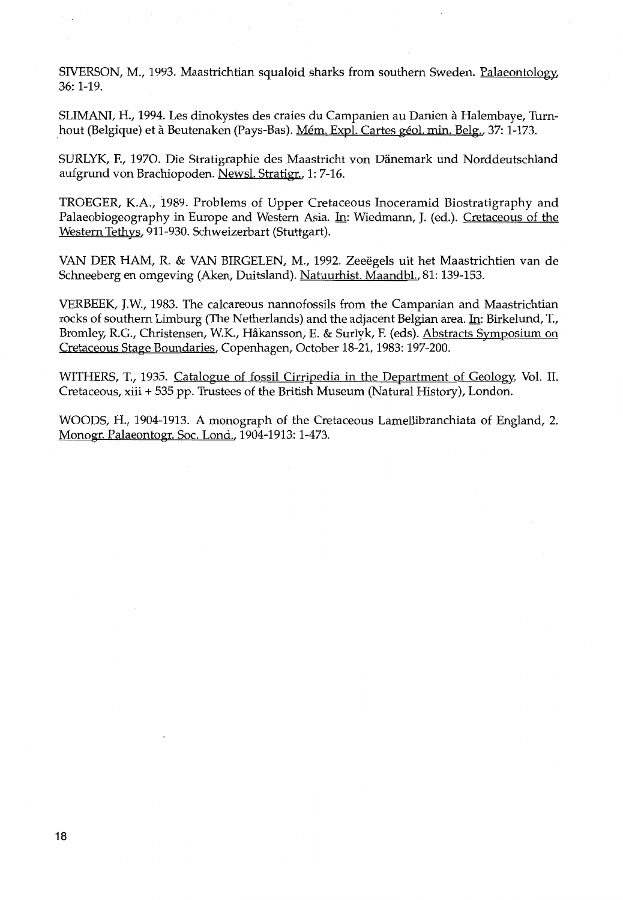SIVERSON, M., 1993. Maastrichtian squaloid sharks from southern Sweden. Palaeontology, 36: 1-19.

SLIMANI, H., 1994. Les dinokystes des craies du Campanien au Danien a Halembaye, Turnhout (Belgique) et à Beutenaken (Pays-Bas). Mém. Expl. Cartes géol. min. Belg., 37: 1-173.

SURLYK, F., 1970. Die Stratigraphie des Maastricht von Danemark und Norddeutschland aufgrund von Brachiopoden. Newsl. Stratigr., 1: 7-16.

TROEGER, K.A., 1989. Problems of Upper Cretaceous Inoceramid Biostratigraphy and Palaeobiogeography in Europe and Western Asia. In: Wiedmann, J. (ed.). Cretaceous of the Western Tethys, 911-930. Schweizerbart (Stuttgart).

VANDER HAM, R. & VAN BIRGELEN, M., 1992. Zeeegels uit het Maastrichtien van de Schneeberg en omgeving (Aken, Duitsland). Natuurhist. Maandbl., 81: 139-153.

VERBEEK, J.W., 1983. The calcareous nannofossils from the Campanian and Maastrichtian rocks of southern Limburg (The Netherlands) and the adjacent Belgian area. In: Birkelund, T., Bromley, R.G., Christensen, W.K., Hakansson, E. & Surlyk, F. (eds). Abstracts Symposium on Cretaceous Stage Boundaries, Copenhagen, October 18-21, 1983: 197-200.

WITHERS, T., 1935. Catalogue of fossil Cirripedia in the Department of Geology; Vol. II. Cretaceous, xiii + 535 pp. Trustees of the British Museum (Natural History), London.

WOODS, H., 1904-1913. A monograph of the Cretaceous Lamellibranchiata of England, 2. Monogr. Palaeontogr. Soc. Lond., 1904-1913: 1-473.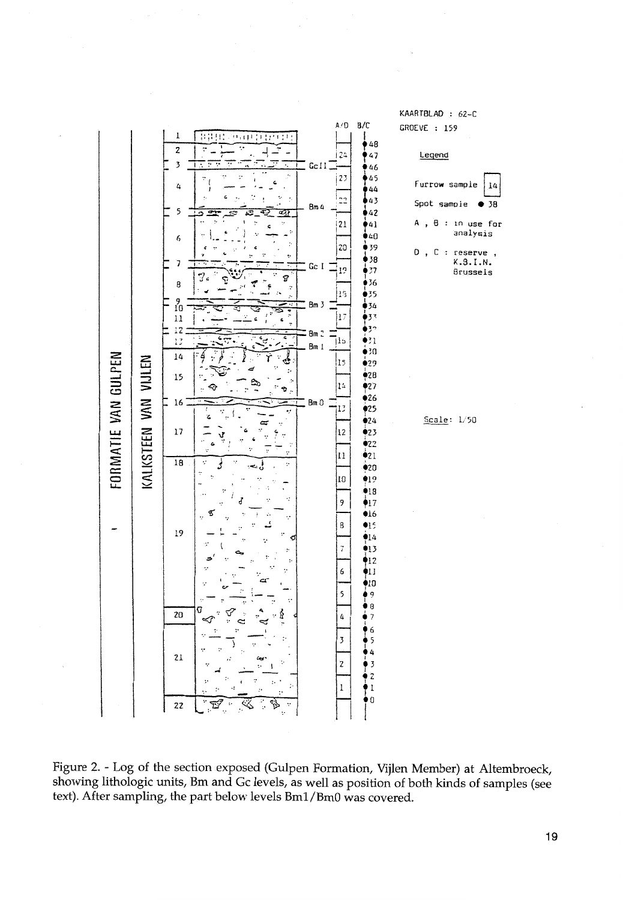

Figure 2. -Log of the section exposed (Gulpen Formation, Vijlen Member) at Altembroeck, showing lithologic units, Bm and Gc levels, as well as position of both kinds of samples (see text). After sampling, the part below levels Bml/BmO was covered.